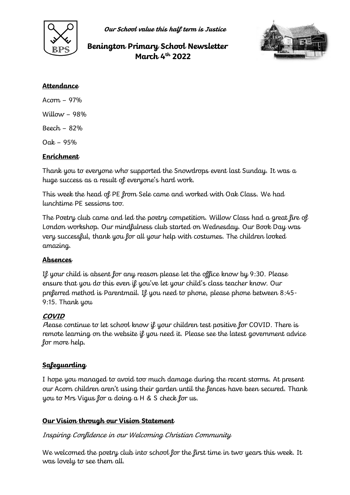

**Our School value this half term is Justice**

# **Benington Primary School Newsletter March 4th 2022**



### **Attendance**

Acorn – 97% Willow  $-98%$ Beech – 82%  $O$ ak – 95%

## **Enrichment**

Thank you to everyone who supported the Snowdrops event last Sunday. It was a huge success as a result of everyone's hard work.

This week the head of PE from Sele came and worked with Oak Class. We had lunchtime PE sessions too.

The Poetry club came and led the poetry competition. Willow Class had a great fire of London workshop. Our mindfulness club started on Wednesday. Our Book Day was very successful, thank you for all your help with costumes. The children looked amazing.

#### **Absences**

If your child is absent for any reason please let the office know by 9:30. Please ensure that you do this even if you've let your child's class teacher know. Our preferred method is Parentmail. If you need to phone, please phone between 8:45- 9:15. Thank you

## **COVID**

<sup>P</sup>lease continue to let school know if your children test positive for COVID. There is remote learning on the website if you need it. Please see the latest government advice for more help.

## **Safeguarding**

I hope you managed to avoid too much damage during the recent storms. At present our Acorn children aren't using their garden until the fences have been secured. Thank you to Mrs Vigus for a doing a H & S check for us.

## **Our Vision through our Vision Statement**

Inspiring Confidence in our Welcoming Christian Community

We welcomed the poetry club into school for the first time in two years this week. It was lovely to see them all.